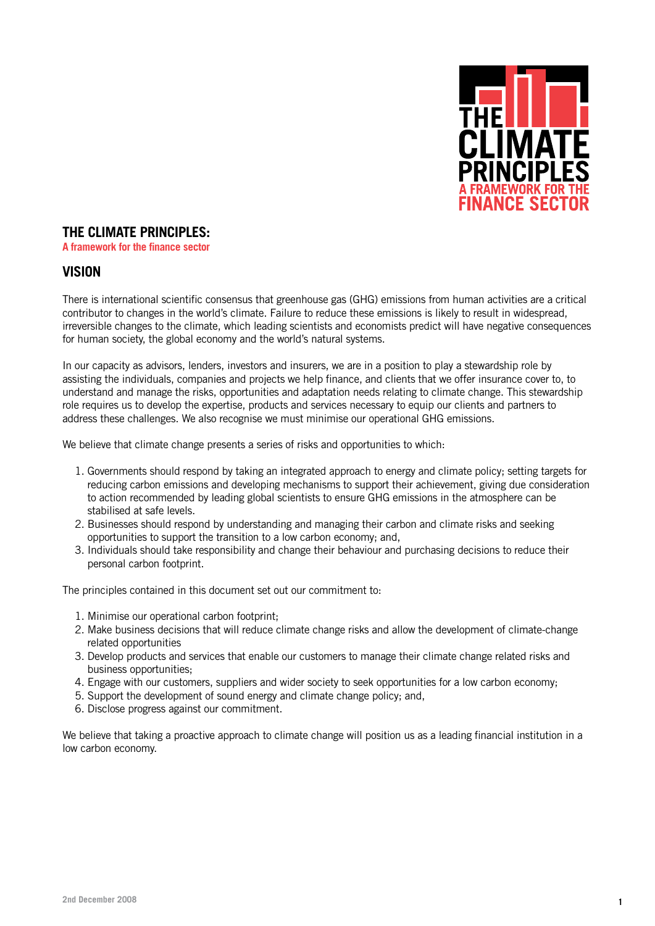

# **THE CLIMATE PRINCIPLES:**

**A framework for the finance sector**

## **VISION**

There is international scientific consensus that greenhouse gas (GHG) emissions from human activities are a critical contributor to changes in the world's climate. Failure to reduce these emissions is likely to result in widespread, irreversible changes to the climate, which leading scientists and economists predict will have negative consequences for human society, the global economy and the world's natural systems.

In our capacity as advisors, lenders, investors and insurers, we are in a position to play a stewardship role by assisting the individuals, companies and projects we help finance, and clients that we offer insurance cover to, to understand and manage the risks, opportunities and adaptation needs relating to climate change. This stewardship role requires us to develop the expertise, products and services necessary to equip our clients and partners to address these challenges. We also recognise we must minimise our operational GHG emissions.

We believe that climate change presents a series of risks and opportunities to which:

- 1. Governments should respond by taking an integrated approach to energy and climate policy; setting targets for reducing carbon emissions and developing mechanisms to support their achievement, giving due consideration to action recommended by leading global scientists to ensure GHG emissions in the atmosphere can be stabilised at safe levels.
- 2. Businesses should respond by understanding and managing their carbon and climate risks and seeking opportunities to support the transition to a low carbon economy; and,
- 3. Individuals should take responsibility and change their behaviour and purchasing decisions to reduce their personal carbon footprint.

The principles contained in this document set out our commitment to:

- 1. Minimise our operational carbon footprint;
- 2. Make business decisions that will reduce climate change risks and allow the development of climate-change related opportunities
- 3. Develop products and services that enable our customers to manage their climate change related risks and business opportunities;
- 4. Engage with our customers, suppliers and wider society to seek opportunities for a low carbon economy;
- 5. Support the development of sound energy and climate change policy; and,
- 6. Disclose progress against our commitment.

We believe that taking a proactive approach to climate change will position us as a leading financial institution in a low carbon economy.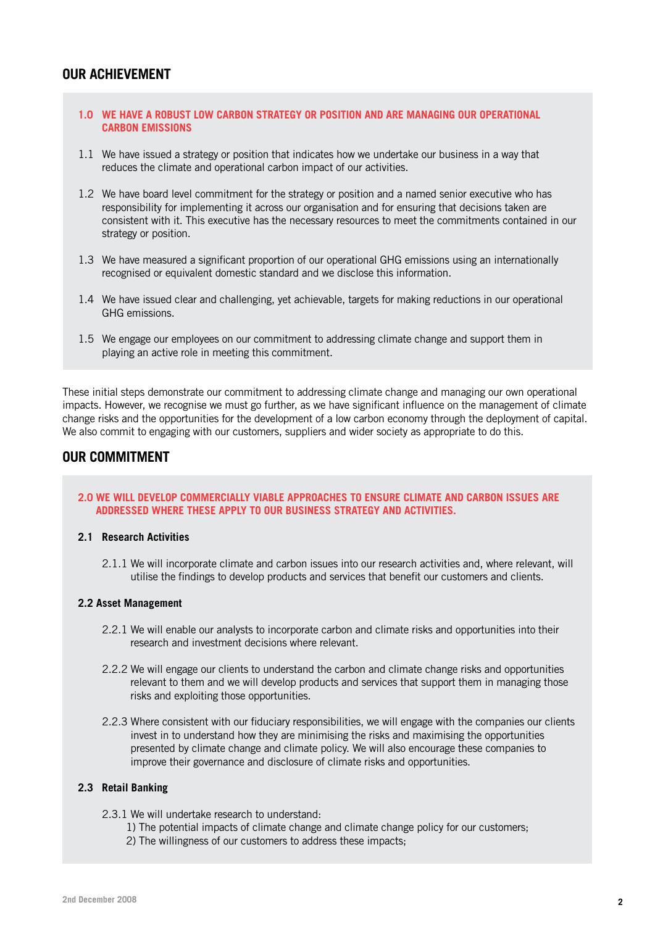## **OUR ACHIEVEMENT**

## **1.0 We have a robust low carbon strategy or position and are managing our operational carbon emissions**

- 1.1 We have issued a strategy or position that indicates how we undertake our business in a way that reduces the climate and operational carbon impact of our activities.
- 1.2 We have board level commitment for the strategy or position and a named senior executive who has responsibility for implementing it across our organisation and for ensuring that decisions taken are consistent with it. This executive has the necessary resources to meet the commitments contained in our strategy or position.
- 1.3 We have measured a significant proportion of our operational GHG emissions using an internationally recognised or equivalent domestic standard and we disclose this information.
- 1.4 We have issued clear and challenging, yet achievable, targets for making reductions in our operational GHG emissions.
- 1.5 We engage our employees on our commitment to addressing climate change and support them in playing an active role in meeting this commitment.

These initial steps demonstrate our commitment to addressing climate change and managing our own operational impacts. However, we recognise we must go further, as we have significant influence on the management of climate change risks and the opportunities for the development of a low carbon economy through the deployment of capital. We also commit to engaging with our customers, suppliers and wider society as appropriate to do this.

# **OUR COMMITMENT**

### **2.0 We will develop commercially viable approaches to ensure climate and carbon issues are addressed where these apply to our business strategy and activities.**

#### **2.1 Research Activities**

2.1.1 We will incorporate climate and carbon issues into our research activities and, where relevant, will utilise the findings to develop products and services that benefit our customers and clients.

#### **2.2 Asset Management**

- 2.2.1 We will enable our analysts to incorporate carbon and climate risks and opportunities into their research and investment decisions where relevant.
- 2.2.2 We will engage our clients to understand the carbon and climate change risks and opportunities relevant to them and we will develop products and services that support them in managing those risks and exploiting those opportunities.
- 2.2.3 Where consistent with our fiduciary responsibilities, we will engage with the companies our clients invest in to understand how they are minimising the risks and maximising the opportunities presented by climate change and climate policy. We will also encourage these companies to improve their governance and disclosure of climate risks and opportunities.

## **2.3 Retail Banking**

- 2.3.1 We will undertake research to understand:
	- 1) The potential impacts of climate change and climate change policy for our customers;
	- 2) The willingness of our customers to address these impacts;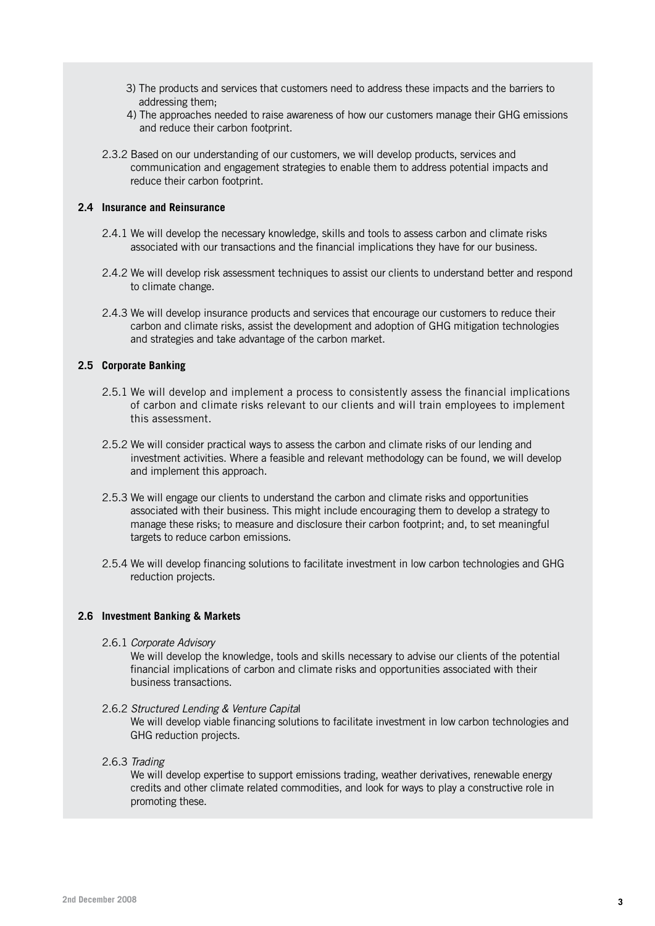- 3) The products and services that customers need to address these impacts and the barriers to addressing them;
- 4) The approaches needed to raise awareness of how our customers manage their GHG emissions and reduce their carbon footprint.
- 2.3.2 Based on our understanding of our customers, we will develop products, services and communication and engagement strategies to enable them to address potential impacts and reduce their carbon footprint.

#### **2.4 Insurance and Reinsurance**

- 2.4.1 We will develop the necessary knowledge, skills and tools to assess carbon and climate risks associated with our transactions and the financial implications they have for our business.
- 2.4.2 We will develop risk assessment techniques to assist our clients to understand better and respond to climate change.
- 2.4.3 We will develop insurance products and services that encourage our customers to reduce their carbon and climate risks, assist the development and adoption of GHG mitigation technologies and strategies and take advantage of the carbon market.

### **2.5 Corporate Banking**

- 2.5.1 We will develop and implement a process to consistently assess the financial implications of carbon and climate risks relevant to our clients and will train employees to implement this assessment.
- 2.5.2 We will consider practical ways to assess the carbon and climate risks of our lending and investment activities. Where a feasible and relevant methodology can be found, we will develop and implement this approach.
- 2.5.3 We will engage our clients to understand the carbon and climate risks and opportunities associated with their business. This might include encouraging them to develop a strategy to manage these risks; to measure and disclosure their carbon footprint; and, to set meaningful targets to reduce carbon emissions.
- 2.5.4 We will develop financing solutions to facilitate investment in low carbon technologies and GHG reduction projects.

#### **2.6 Investment Banking & Markets**

2.6.1 *Corporate Advisory*

We will develop the knowledge, tools and skills necessary to advise our clients of the potential financial implications of carbon and climate risks and opportunities associated with their business transactions.

2.6.2 *Structured Lending & Venture Capita*l

We will develop viable financing solutions to facilitate investment in low carbon technologies and GHG reduction projects.

2.6.3 *Trading*

We will develop expertise to support emissions trading, weather derivatives, renewable energy credits and other climate related commodities, and look for ways to play a constructive role in promoting these.